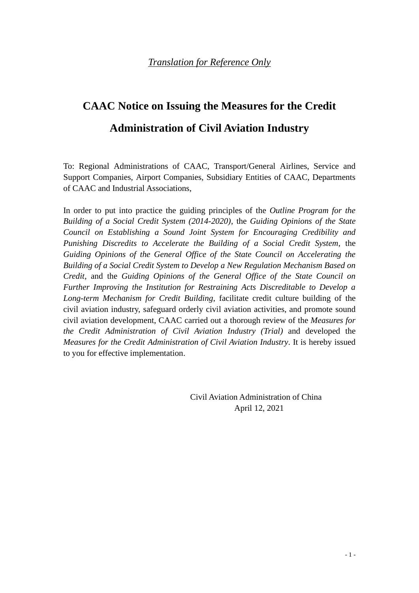# **CAAC Notice on Issuing the Measures for the Credit Administration of Civil Aviation Industry**

To: Regional Administrations of CAAC, Transport/General Airlines, Service and Support Companies, Airport Companies, Subsidiary Entities of CAAC, Departments of CAAC and Industrial Associations,

In order to put into practice the guiding principles of the *Outline Program for the Building of a Social Credit System (2014-2020)*, the *Guiding Opinions of the State Council on Establishing a Sound Joint System for Encouraging Credibility and Punishing Discredits to Accelerate the Building of a Social Credit System*, the *Guiding Opinions of the General Office of the State Council on Accelerating the Building of a Social Credit System to Develop a New Regulation Mechanism Based on Credit*, and the *Guiding Opinions of the General Office of the State Council on Further Improving the Institution for Restraining Acts Discreditable to Develop a Long-term Mechanism for Credit Building*, facilitate credit culture building of the civil aviation industry, safeguard orderly civil aviation activities, and promote sound civil aviation development, CAAC carried out a thorough review of the *Measures for the Credit Administration of Civil Aviation Industry (Trial)* and developed the *Measures for the Credit Administration of Civil Aviation Industry*. It is hereby issued to you for effective implementation.

> Civil Aviation Administration of China April 12, 2021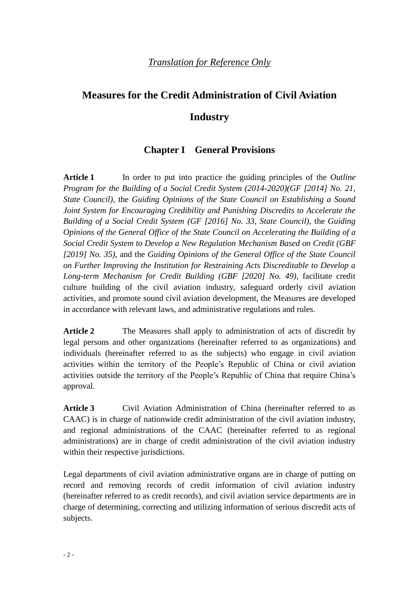## **Measures for the Credit Administration of Civil Aviation**

#### **Industry**

## **Chapter I General Provisions**

**Article 1** In order to put into practice the guiding principles of the *Outline Program for the Building of a Social Credit System (2014-2020)(GF [2014] No. 21, State Council)*, the *Guiding Opinions of the State Council on Establishing a Sound Joint System for Encouraging Credibility and Punishing Discredits to Accelerate the Building of a Social Credit System (GF [2016] No. 33, State Council)*, the *Guiding Opinions of the General Office of the State Council on Accelerating the Building of a Social Credit System to Develop a New Regulation Mechanism Based on Credit (GBF [2019] No. 35)*, and the *Guiding Opinions of the General Office of the State Council on Further Improving the Institution for Restraining Acts Discreditable to Develop a Long-term Mechanism for Credit Building (GBF [2020] No. 49)*, facilitate credit culture building of the civil aviation industry, safeguard orderly civil aviation activities, and promote sound civil aviation development, the Measures are developed in accordance with relevant laws, and administrative regulations and rules.

**Article 2** The Measures shall apply to administration of acts of discredit by legal persons and other organizations (hereinafter referred to as organizations) and individuals (hereinafter referred to as the subjects) who engage in civil aviation activities within the territory of the People's Republic of China or civil aviation activities outside the territory of the People's Republic of China that require China's approval.

**Article 3** Civil Aviation Administration of China (hereinafter referred to as CAAC) is in charge of nationwide credit administration of the civil aviation industry, and regional administrations of the CAAC (hereinafter referred to as regional administrations) are in charge of credit administration of the civil aviation industry within their respective jurisdictions.

Legal departments of civil aviation administrative organs are in charge of putting on record and removing records of credit information of civil aviation industry (hereinafter referred to as credit records), and civil aviation service departments are in charge of determining, correcting and utilizing information of serious discredit acts of subjects.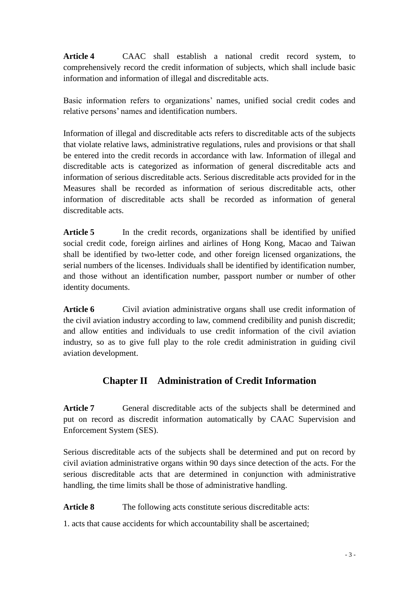**Article 4** CAAC shall establish a national credit record system, to comprehensively record the credit information of subjects, which shall include basic information and information of illegal and discreditable acts.

Basic information refers to organizations' names, unified social credit codes and relative persons' names and identification numbers.

Information of illegal and discreditable acts refers to discreditable acts of the subjects that violate relative laws, administrative regulations, rules and provisions or that shall be entered into the credit records in accordance with law. Information of illegal and discreditable acts is categorized as information of general discreditable acts and information of serious discreditable acts. Serious discreditable acts provided for in the Measures shall be recorded as information of serious discreditable acts, other information of discreditable acts shall be recorded as information of general discreditable acts.

Article 5 In the credit records, organizations shall be identified by unified social credit code, foreign airlines and airlines of Hong Kong, Macao and Taiwan shall be identified by two-letter code, and other foreign licensed organizations, the serial numbers of the licenses. Individuals shall be identified by identification number, and those without an identification number, passport number or number of other identity documents.

Article 6 Civil aviation administrative organs shall use credit information of the civil aviation industry according to law, commend credibility and punish discredit; and allow entities and individuals to use credit information of the civil aviation industry, so as to give full play to the role credit administration in guiding civil aviation development.

## **Chapter II Administration of Credit Information**

Article 7 General discreditable acts of the subjects shall be determined and put on record as discredit information automatically by CAAC Supervision and Enforcement System (SES).

Serious discreditable acts of the subjects shall be determined and put on record by civil aviation administrative organs within 90 days since detection of the acts. For the serious discreditable acts that are determined in conjunction with administrative handling, the time limits shall be those of administrative handling.

Article 8 The following acts constitute serious discreditable acts:

1. acts that cause accidents for which accountability shall be ascertained;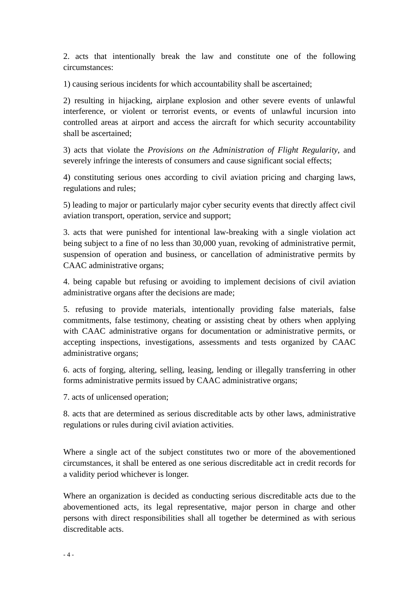2. acts that intentionally break the law and constitute one of the following circumstances:

1) causing serious incidents for which accountability shall be ascertained;

2) resulting in hijacking, airplane explosion and other severe events of unlawful interference, or violent or terrorist events, or events of unlawful incursion into controlled areas at airport and access the aircraft for which security accountability shall be ascertained;

3) acts that violate the *Provisions on the Administration of Flight Regularity*, and severely infringe the interests of consumers and cause significant social effects;

4) constituting serious ones according to civil aviation pricing and charging laws, regulations and rules;

5) leading to major or particularly major cyber security events that directly affect civil aviation transport, operation, service and support;

3. acts that were punished for intentional law-breaking with a single violation act being subject to a fine of no less than 30,000 yuan, revoking of administrative permit, suspension of operation and business, or cancellation of administrative permits by CAAC administrative organs;

4. being capable but refusing or avoiding to implement decisions of civil aviation administrative organs after the decisions are made;

5. refusing to provide materials, intentionally providing false materials, false commitments, false testimony, cheating or assisting cheat by others when applying with CAAC administrative organs for documentation or administrative permits, or accepting inspections, investigations, assessments and tests organized by CAAC administrative organs;

6. acts of forging, altering, selling, leasing, lending or illegally transferring in other forms administrative permits issued by CAAC administrative organs;

7. acts of unlicensed operation;

8. acts that are determined as serious discreditable acts by other laws, administrative regulations or rules during civil aviation activities.

Where a single act of the subject constitutes two or more of the abovementioned circumstances, it shall be entered as one serious discreditable act in credit records for a validity period whichever is longer.

Where an organization is decided as conducting serious discreditable acts due to the abovementioned acts, its legal representative, major person in charge and other persons with direct responsibilities shall all together be determined as with serious discreditable acts.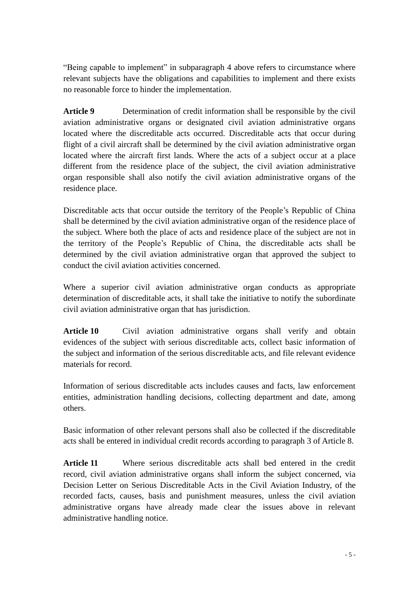"Being capable to implement" in subparagraph 4 above refers to circumstance where relevant subjects have the obligations and capabilities to implement and there exists no reasonable force to hinder the implementation.

**Article 9** Determination of credit information shall be responsible by the civil aviation administrative organs or designated civil aviation administrative organs located where the discreditable acts occurred. Discreditable acts that occur during flight of a civil aircraft shall be determined by the civil aviation administrative organ located where the aircraft first lands. Where the acts of a subject occur at a place different from the residence place of the subject, the civil aviation administrative organ responsible shall also notify the civil aviation administrative organs of the residence place.

Discreditable acts that occur outside the territory of the People's Republic of China shall be determined by the civil aviation administrative organ of the residence place of the subject. Where both the place of acts and residence place of the subject are not in the territory of the People's Republic of China, the discreditable acts shall be determined by the civil aviation administrative organ that approved the subject to conduct the civil aviation activities concerned.

Where a superior civil aviation administrative organ conducts as appropriate determination of discreditable acts, it shall take the initiative to notify the subordinate civil aviation administrative organ that has jurisdiction.

**Article 10** Civil aviation administrative organs shall verify and obtain evidences of the subject with serious discreditable acts, collect basic information of the subject and information of the serious discreditable acts, and file relevant evidence materials for record.

Information of serious discreditable acts includes causes and facts, law enforcement entities, administration handling decisions, collecting department and date, among others.

Basic information of other relevant persons shall also be collected if the discreditable acts shall be entered in individual credit records according to paragraph 3 of Article 8.

**Article 11** Where serious discreditable acts shall bed entered in the credit record, civil aviation administrative organs shall inform the subject concerned, via Decision Letter on Serious Discreditable Acts in the Civil Aviation Industry, of the recorded facts, causes, basis and punishment measures, unless the civil aviation administrative organs have already made clear the issues above in relevant administrative handling notice.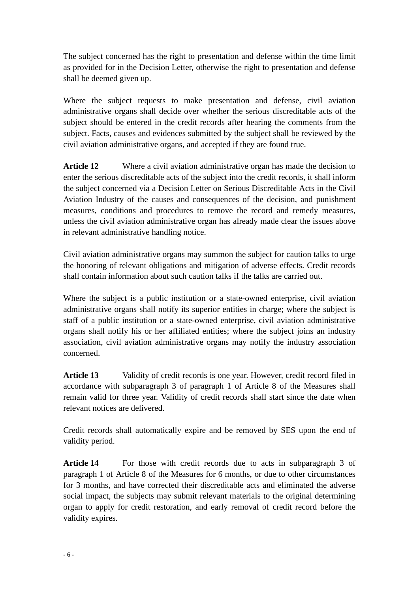The subject concerned has the right to presentation and defense within the time limit as provided for in the Decision Letter, otherwise the right to presentation and defense shall be deemed given up.

Where the subject requests to make presentation and defense, civil aviation administrative organs shall decide over whether the serious discreditable acts of the subject should be entered in the credit records after hearing the comments from the subject. Facts, causes and evidences submitted by the subject shall be reviewed by the civil aviation administrative organs, and accepted if they are found true.

**Article 12** Where a civil aviation administrative organ has made the decision to enter the serious discreditable acts of the subject into the credit records, it shall inform the subject concerned via a Decision Letter on Serious Discreditable Acts in the Civil Aviation Industry of the causes and consequences of the decision, and punishment measures, conditions and procedures to remove the record and remedy measures, unless the civil aviation administrative organ has already made clear the issues above in relevant administrative handling notice.

Civil aviation administrative organs may summon the subject for caution talks to urge the honoring of relevant obligations and mitigation of adverse effects. Credit records shall contain information about such caution talks if the talks are carried out.

Where the subject is a public institution or a state-owned enterprise, civil aviation administrative organs shall notify its superior entities in charge; where the subject is staff of a public institution or a state-owned enterprise, civil aviation administrative organs shall notify his or her affiliated entities; where the subject joins an industry association, civil aviation administrative organs may notify the industry association concerned.

**Article 13** Validity of credit records is one year. However, credit record filed in accordance with subparagraph 3 of paragraph 1 of Article 8 of the Measures shall remain valid for three year. Validity of credit records shall start since the date when relevant notices are delivered.

Credit records shall automatically expire and be removed by SES upon the end of validity period.

Article 14 For those with credit records due to acts in subparagraph 3 of paragraph 1 of Article 8 of the Measures for 6 months, or due to other circumstances for 3 months, and have corrected their discreditable acts and eliminated the adverse social impact, the subjects may submit relevant materials to the original determining organ to apply for credit restoration, and early removal of credit record before the validity expires.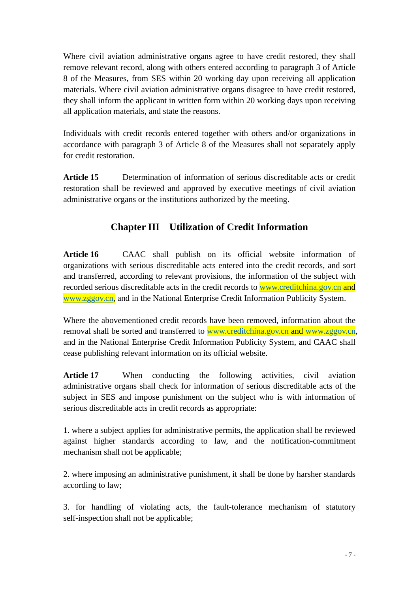Where civil aviation administrative organs agree to have credit restored, they shall remove relevant record, along with others entered according to paragraph 3 of Article 8 of the Measures, from SES within 20 working day upon receiving all application materials. Where civil aviation administrative organs disagree to have credit restored, they shall inform the applicant in written form within 20 working days upon receiving all application materials, and state the reasons.

Individuals with credit records entered together with others and/or organizations in accordance with paragraph 3 of Article 8 of the Measures shall not separately apply for credit restoration.

**Article 15** Determination of information of serious discreditable acts or credit restoration shall be reviewed and approved by executive meetings of civil aviation administrative organs or the institutions authorized by the meeting.

## **Chapter III Utilization of Credit Information**

**Article 16** CAAC shall publish on its official website information of organizations with serious discreditable acts entered into the credit records, and sort and transferred, according to relevant provisions, the information of the subject with recorded serious discreditable acts in the credit records to [www.creditchina.gov.cn](http://www.creditchina.gov.cn/) and [www.zggov.cn,](http://www.zggov.cn/) and in the National Enterprise Credit Information Publicity System.

Where the abovementioned credit records have been removed, information about the removal shall be sorted and transferred to [www.creditchina.gov.cn](http://www.creditchina.gov.cn/) and [www.zggov.cn,](http://www.zggov.cn/) and in the National Enterprise Credit Information Publicity System, and CAAC shall cease publishing relevant information on its official website.

**Article 17** When conducting the following activities, civil aviation administrative organs shall check for information of serious discreditable acts of the subject in SES and impose punishment on the subject who is with information of serious discreditable acts in credit records as appropriate:

1. where a subject applies for administrative permits, the application shall be reviewed against higher standards according to law, and the notification-commitment mechanism shall not be applicable;

2. where imposing an administrative punishment, it shall be done by harsher standards according to law;

3. for handling of violating acts, the fault-tolerance mechanism of statutory self-inspection shall not be applicable;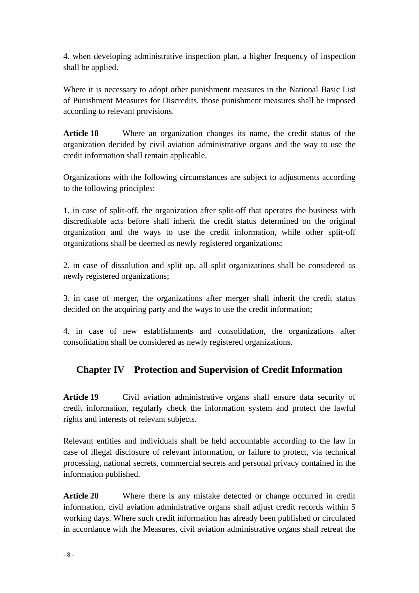4. when developing administrative inspection plan, a higher frequency of inspection shall be applied.

Where it is necessary to adopt other punishment measures in the National Basic List of Punishment Measures for Discredits, those punishment measures shall be imposed according to relevant provisions.

**Article 18** Where an organization changes its name, the credit status of the organization decided by civil aviation administrative organs and the way to use the credit information shall remain applicable.

Organizations with the following circumstances are subject to adjustments according to the following principles:

1. in case of split-off, the organization after split-off that operates the business with discreditable acts before shall inherit the credit status determined on the original organization and the ways to use the credit information, while other split-off organizations shall be deemed as newly registered organizations;

2. in case of dissolution and split up, all split organizations shall be considered as newly registered organizations;

3. in case of merger, the organizations after merger shall inherit the credit status decided on the acquiring party and the ways to use the credit information;

4. in case of new establishments and consolidation, the organizations after consolidation shall be considered as newly registered organizations.

## **Chapter IV Protection and Supervision of Credit Information**

**Article 19** Civil aviation administrative organs shall ensure data security of credit information, regularly check the information system and protect the lawful rights and interests of relevant subjects.

Relevant entities and individuals shall be held accountable according to the law in case of illegal disclosure of relevant information, or failure to protect, via technical processing, national secrets, commercial secrets and personal privacy contained in the information published.

**Article 20** Where there is any mistake detected or change occurred in credit information, civil aviation administrative organs shall adjust credit records within 5 working days. Where such credit information has already been published or circulated in accordance with the Measures, civil aviation administrative organs shall retreat the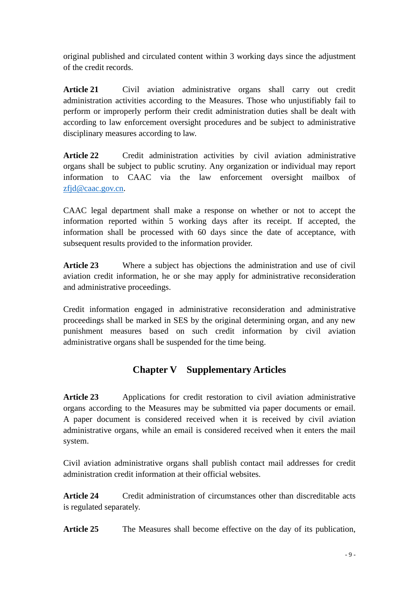original published and circulated content within 3 working days since the adjustment of the credit records.

**Article 21** Civil aviation administrative organs shall carry out credit administration activities according to the Measures. Those who unjustifiably fail to perform or improperly perform their credit administration duties shall be dealt with according to law enforcement oversight procedures and be subject to administrative disciplinary measures according to law.

**Article 22** Credit administration activities by civil aviation administrative organs shall be subject to public scrutiny. Any organization or individual may report information to CAAC via the law enforcement oversight mailbox of [zfjd@caac.gov.cn.](mailto:zfjd@caac.gov.cn)

CAAC legal department shall make a response on whether or not to accept the information reported within 5 working days after its receipt. If accepted, the information shall be processed with 60 days since the date of acceptance, with subsequent results provided to the information provider.

**Article 23** Where a subject has objections the administration and use of civil aviation credit information, he or she may apply for administrative reconsideration and administrative proceedings.

Credit information engaged in administrative reconsideration and administrative proceedings shall be marked in SES by the original determining organ, and any new punishment measures based on such credit information by civil aviation administrative organs shall be suspended for the time being.

## **Chapter V Supplementary Articles**

**Article 23** Applications for credit restoration to civil aviation administrative organs according to the Measures may be submitted via paper documents or email. A paper document is considered received when it is received by civil aviation administrative organs, while an email is considered received when it enters the mail system.

Civil aviation administrative organs shall publish contact mail addresses for credit administration credit information at their official websites.

**Article 24** Credit administration of circumstances other than discreditable acts is regulated separately.

Article 25 The Measures shall become effective on the day of its publication,